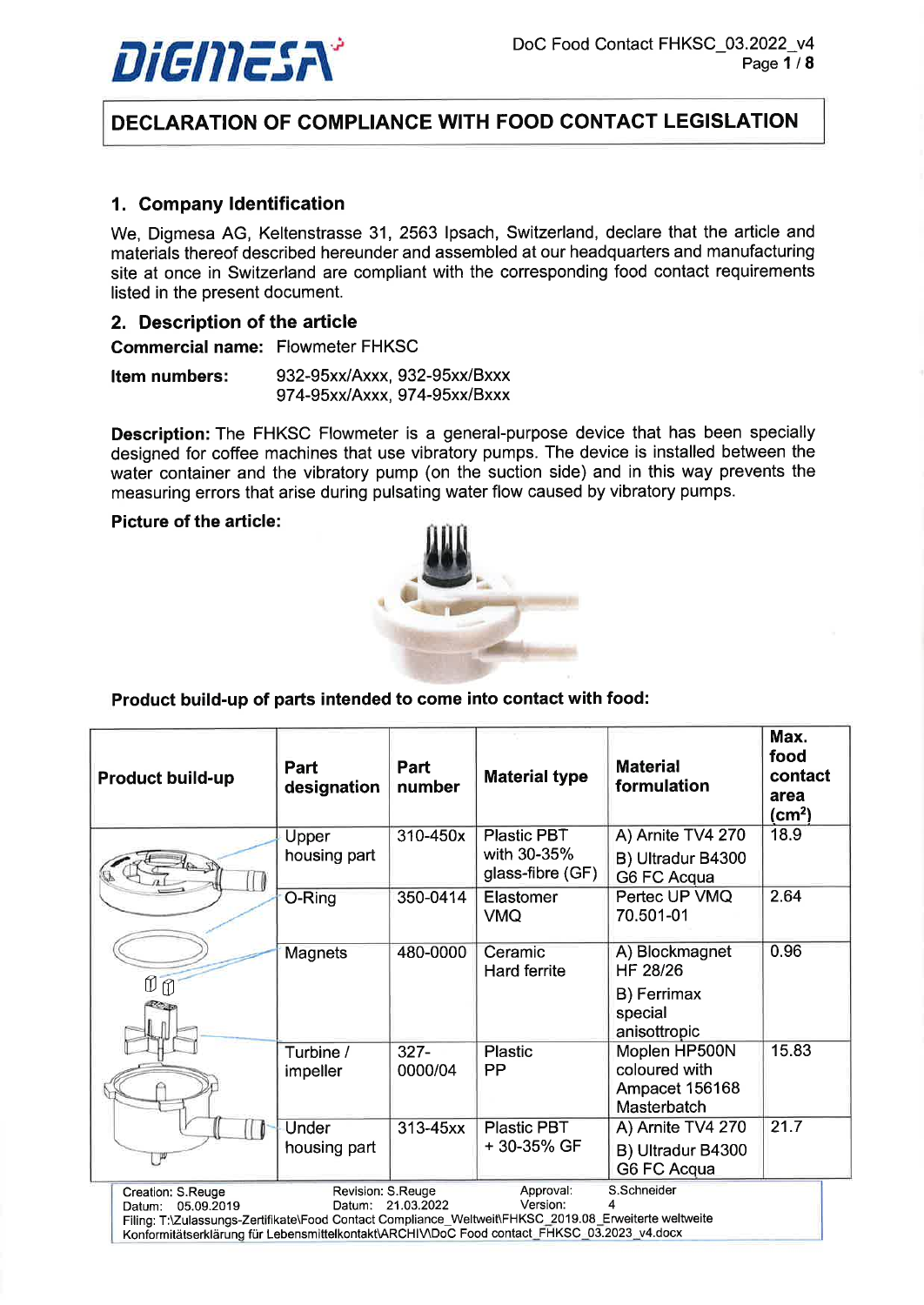

# DECLARATION OF COMPLIANCE WITH FOOD CONTACT LEGISLATION

# 1. Company ldentification

We, Digmesa AG, Keltenstrasse 31, 2563 Ipsach, Switzerland, declare that the article and materials thereof described hereunder and assembled at our headquarters and manufacturing site at once in Switzerland are compliant with the corresponding food contact requirements listed in the present document.

#### 2. Description of the article

Commercial name: Flowmeter FHKSC

Item numbers: 932-95xx/Axxx, 932-95xx/Bxxx 97 4-95xxl Axxx, 974-95xx/Bxxx

Description: The FHKSC Flowmeter is a general-purpose device that has been specially designed for coffee machines that use vibratory pumps. The device is installed between the water container and the vibratory pump (on the suction side) and in this way prevents the measuring errors that arise during pulsating water flow caused by vibratory pumps.

#### Picture of the article:



#### Product build-up of parts intended to come into contact with food:

| <b>Product build-up</b>                   | Part<br>designation                                                                                   | Part<br>number | <b>Material type</b>            | <b>Material</b><br>formulation         | Max.<br>food<br>contact<br>area<br>$\text{(cm}^2)$ |  |
|-------------------------------------------|-------------------------------------------------------------------------------------------------------|----------------|---------------------------------|----------------------------------------|----------------------------------------------------|--|
|                                           | Upper                                                                                                 | 310-450x       | Plastic PBT                     | A) Arnite TV4 270                      | 18.9                                               |  |
|                                           | housing part                                                                                          |                | with 30-35%<br>glass-fibre (GF) | B) Ultradur B4300<br>G6 FC Acqua       |                                                    |  |
|                                           | O-Ring                                                                                                | 350-0414       | Elastomer<br><b>VMQ</b>         | Pertec UP VMQ<br>70.501-01             | 2.64                                               |  |
|                                           | <b>Magnets</b>                                                                                        | 480-0000       | Ceramic<br>Hard ferrite         | A) Blockmagnet<br>HF 28/26             | 0.96                                               |  |
| $\mathbb{O} \mathbb{O}$                   |                                                                                                       |                |                                 | B) Ferrimax<br>special<br>anisottropic |                                                    |  |
|                                           | Turbine /                                                                                             | $327 -$        | <b>Plastic</b><br>PP            | Moplen HP500N<br>coloured with         | 15.83                                              |  |
|                                           | impeller                                                                                              | 0000/04        |                                 | Ampacet 156168<br>Masterbatch          |                                                    |  |
|                                           | Under                                                                                                 | 313-45xx       | <b>Plastic PBT</b>              | A) Arnite TV4 270                      | 21.7                                               |  |
|                                           | housing part                                                                                          |                | +30-35% GF                      | B) Ultradur B4300<br>G6 FC Acqua       |                                                    |  |
| Creation: S.Reuge<br>05.09.2019<br>Datum: | Revision: S.Reuge<br>Datum:                                                                           | 21.03.2022     | Approval:<br>Version:           | S.Schneider                            |                                                    |  |
|                                           | Filing: T:\Zulassungs-Zertifikate\Food Contact Compliance_Weltweit\FHKSC_2019.08_Erweiterte weltweite |                |                                 |                                        |                                                    |  |

Konformitätserklärung für Lebensmittelkontakt\ARCHIV\DoC Food contact\_FHKSC\_03.2023\_v4.docx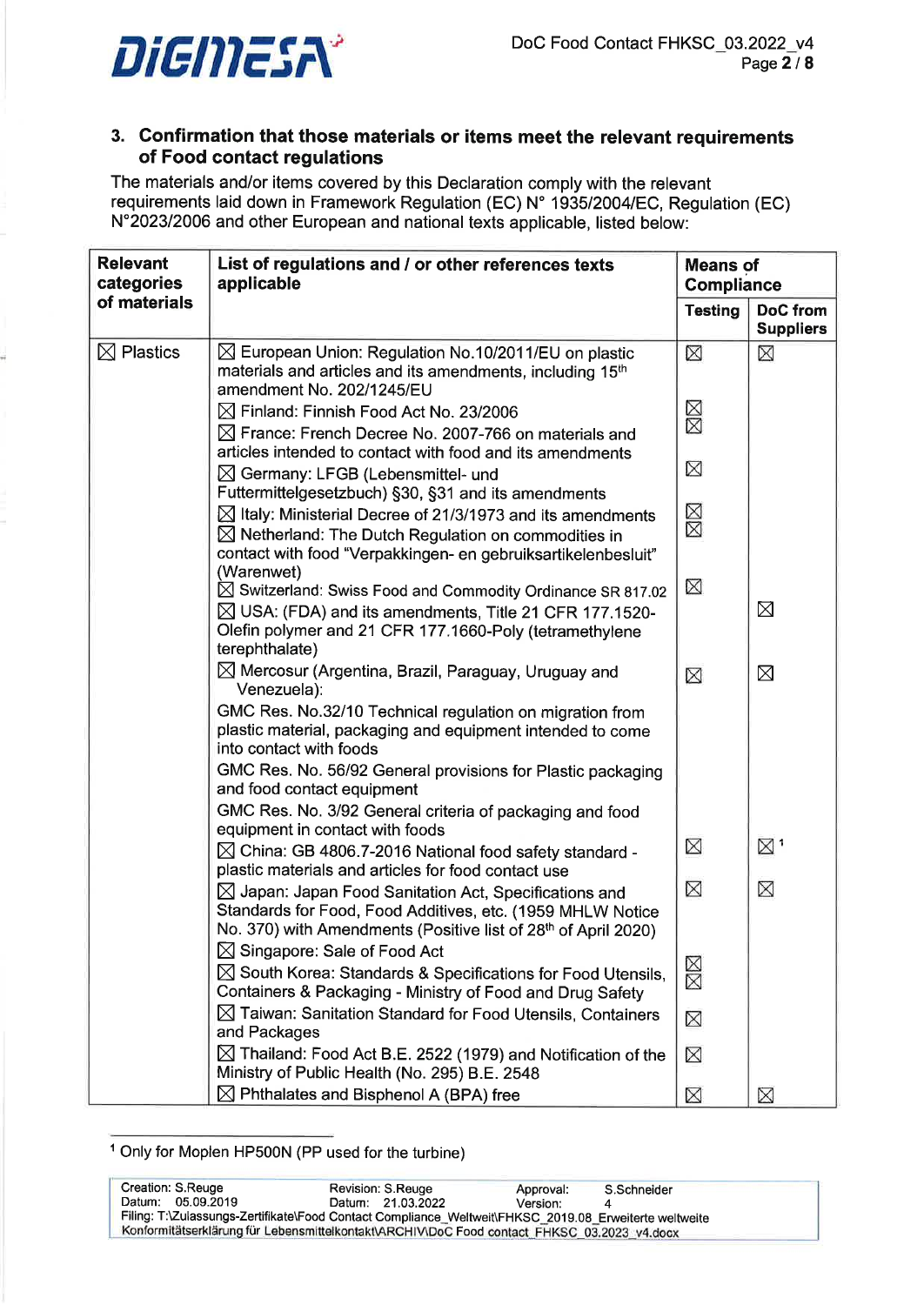

# 3. Confirmation that those materials or items meet the relevant requirements of Food contact regulations

The materials and/or items covered by this Declaration comply with the relevant requirements laid down in Framework Regulation (EC) N' 1935120041EC, Regulation (EC) N"202312006 and other European and national texts applicable, listed below:

| <b>Relevant</b><br>categories | List of regulations and / or other references texts<br>applicable                                                                                                                                                                     |                | <b>Means of</b><br>Compliance       |
|-------------------------------|---------------------------------------------------------------------------------------------------------------------------------------------------------------------------------------------------------------------------------------|----------------|-------------------------------------|
| of materials                  |                                                                                                                                                                                                                                       | <b>Testing</b> | <b>DoC</b> from<br><b>Suppliers</b> |
| $\boxtimes$ Plastics          | $\boxtimes$ European Union: Regulation No.10/2011/EU on plastic<br>materials and articles and its amendments, including 15 <sup>th</sup><br>amendment No. 202/1245/EU                                                                 | ⊠              | ⊠                                   |
|                               | $\boxtimes$ Finland: Finnish Food Act No. 23/2006<br>$\boxtimes$ France: French Decree No. 2007-766 on materials and                                                                                                                  | ⊠⊠             |                                     |
|                               | articles intended to contact with food and its amendments<br>$\boxtimes$ Germany: LFGB (Lebensmittel- und<br>Futtermittelgesetzbuch) §30, §31 and its amendments                                                                      | ⊠              |                                     |
|                               | $\boxtimes$ Italy: Ministerial Decree of 21/3/1973 and its amendments<br>$\boxtimes$ Netherland: The Dutch Regulation on commodities in<br>contact with food "Verpakkingen- en gebruiksartikelenbesluit"                              | ⊠⊠             |                                     |
|                               | (Warenwet)<br>$\boxtimes$ Switzerland: Swiss Food and Commodity Ordinance SR 817.02<br>$\boxtimes$ USA: (FDA) and its amendments, Title 21 CFR 177.1520-<br>Olefin polymer and 21 CFR 177.1660-Poly (tetramethylene<br>terephthalate) | ⊠              | ⊠                                   |
|                               | $\boxtimes$ Mercosur (Argentina, Brazil, Paraguay, Uruguay and<br>Venezuela):                                                                                                                                                         | ⊠              | ⊠                                   |
|                               | GMC Res. No.32/10 Technical regulation on migration from<br>plastic material, packaging and equipment intended to come<br>into contact with foods                                                                                     |                |                                     |
|                               | GMC Res. No. 56/92 General provisions for Plastic packaging<br>and food contact equipment                                                                                                                                             |                |                                     |
|                               | GMC Res. No. 3/92 General criteria of packaging and food<br>equipment in contact with foods                                                                                                                                           |                |                                     |
|                               | $\boxtimes$ China: GB 4806.7-2016 National food safety standard -<br>plastic materials and articles for food contact use                                                                                                              | $\boxtimes$    | $\boxtimes$ .                       |
|                               | $\boxtimes$ Japan: Japan Food Sanitation Act, Specifications and<br>Standards for Food, Food Additives, etc. (1959 MHLW Notice<br>No. 370) with Amendments (Positive list of 28 <sup>th</sup> of April 2020)                          | ⊠              | ⊠                                   |
|                               | ⊠ Singapore: Sale of Food Act<br>$\boxtimes$ South Korea: Standards & Specifications for Food Utensils,<br>Containers & Packaging - Ministry of Food and Drug Safety                                                                  | ⊠⊠             |                                     |
|                               | $\boxtimes$ Taiwan: Sanitation Standard for Food Utensils, Containers<br>and Packages                                                                                                                                                 | $\boxtimes$    |                                     |
|                               | $\boxtimes$ Thailand: Food Act B.E. 2522 (1979) and Notification of the<br>Ministry of Public Health (No. 295) B.E. 2548                                                                                                              | ⊠              |                                     |
|                               | $\boxtimes$ Phthalates and Bisphenol A (BPA) free                                                                                                                                                                                     | ⊠              | ⊠                                   |

<sup>1</sup>Only for Moplen HP500N (PP used for the turbine)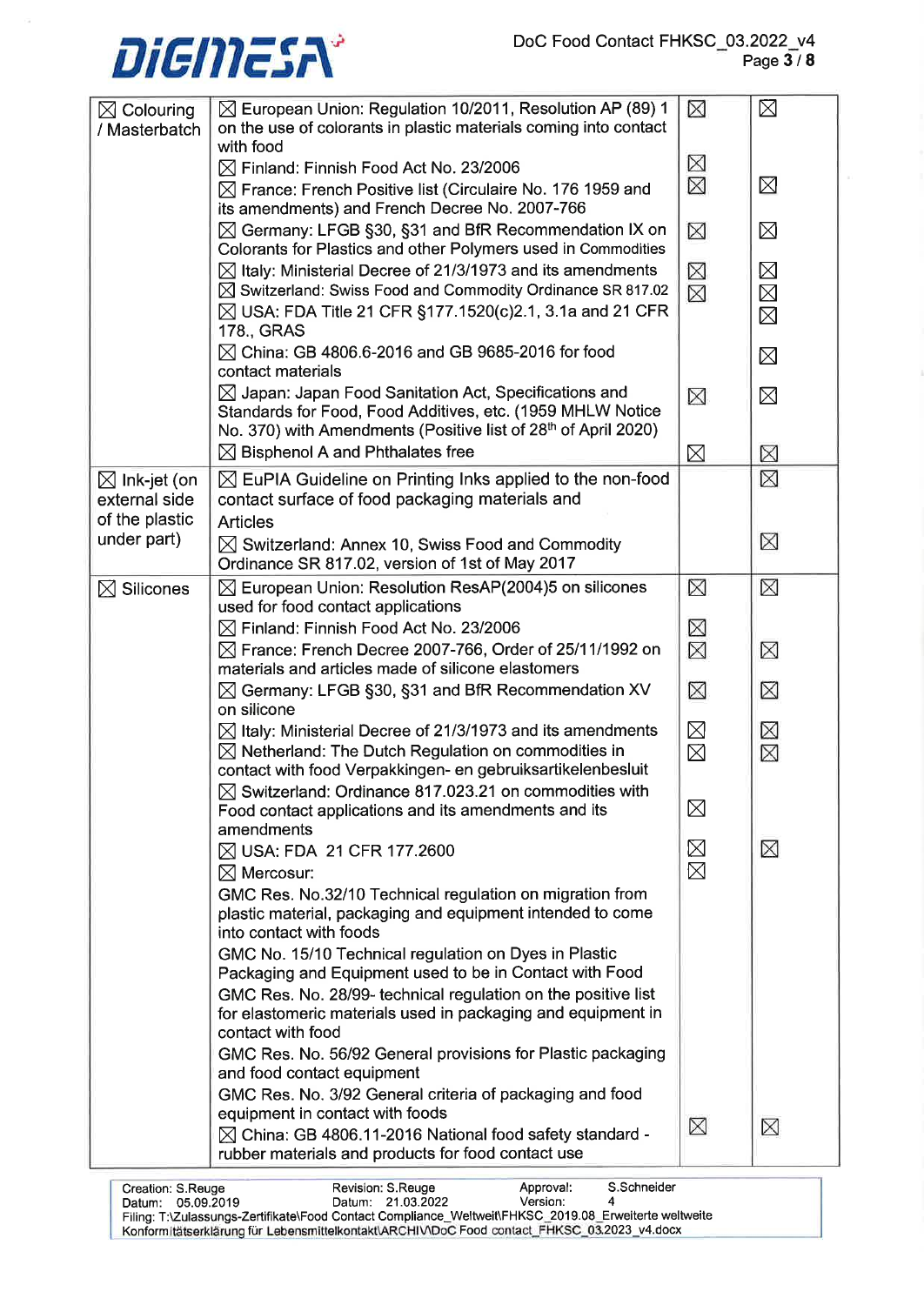# Page  $3/8$



| $\boxtimes$ Colouring<br>/ Masterbatch                     | ⊠ European Union: Regulation 10/2011, Resolution AP (89) 1<br>on the use of colorants in plastic materials coming into contact<br>with food                                                                                        | ⊠                          | $\boxtimes$                               |
|------------------------------------------------------------|------------------------------------------------------------------------------------------------------------------------------------------------------------------------------------------------------------------------------------|----------------------------|-------------------------------------------|
|                                                            | $\boxtimes$ Finland: Finnish Food Act No. 23/2006<br>$\boxtimes$ France: French Positive list (Circulaire No. 176 1959 and<br>its amendments) and French Decree No. 2007-766                                                       | ⊠<br>⊠                     | $\boxtimes$                               |
|                                                            | ⊠ Germany: LFGB §30, §31 and BfR Recommendation IX on<br>Colorants for Plastics and other Polymers used in Commodities                                                                                                             | $\boxtimes$                | $\boxtimes$                               |
|                                                            | $\boxtimes$ Italy: Ministerial Decree of 21/3/1973 and its amendments<br>$\boxtimes$ Switzerland: Swiss Food and Commodity Ordinance SR 817.02<br>$\boxtimes$ USA: FDA Title 21 CFR §177.1520(c)2.1, 3.1a and 21 CFR<br>178., GRAS | ⊠<br>⊠                     | $\boxtimes$<br>$\boxtimes$<br>$\boxtimes$ |
|                                                            | $\boxtimes$ China: GB 4806.6-2016 and GB 9685-2016 for food<br>contact materials                                                                                                                                                   |                            | $\boxtimes$                               |
|                                                            | $\boxtimes$ Japan: Japan Food Sanitation Act, Specifications and<br>Standards for Food, Food Additives, etc. (1959 MHLW Notice<br>No. 370) with Amendments (Positive list of 28 <sup>th</sup> of April 2020)                       | ⊠                          | $\boxtimes$                               |
|                                                            | $\boxtimes$ Bisphenol A and Phthalates free                                                                                                                                                                                        | $\boxtimes$                | ⊠                                         |
| $\boxtimes$ Ink-jet (on<br>external side<br>of the plastic | $\boxtimes$ EuPIA Guideline on Printing Inks applied to the non-food<br>contact surface of food packaging materials and<br><b>Articles</b>                                                                                         |                            | ⊠                                         |
| under part)                                                | $\boxtimes$ Switzerland: Annex 10, Swiss Food and Commodity<br>Ordinance SR 817.02, version of 1st of May 2017                                                                                                                     |                            | ⊠                                         |
| $\boxtimes$ Silicones                                      | $\boxtimes$ European Union: Resolution ResAP(2004)5 on silicones<br>used for food contact applications                                                                                                                             | ⊠                          | ⊠                                         |
|                                                            | $\boxtimes$ Finland: Finnish Food Act No. 23/2006<br>$\boxtimes$ France: French Decree 2007-766, Order of 25/11/1992 on<br>materials and articles made of silicone elastomers                                                      | ⊠<br>$\boxtimes$           | ⊠                                         |
|                                                            | $\boxtimes$ Germany: LFGB §30, §31 and BfR Recommendation XV<br>on silicone                                                                                                                                                        | ⊠                          | ⊠                                         |
|                                                            | $\boxtimes$ Italy: Ministerial Decree of 21/3/1973 and its amendments<br>$\boxtimes$ Netherland: The Dutch Regulation on commodities in<br>contact with food Verpakkingen- en gebruiksartikelenbesluit                             | $\boxtimes$<br>$\boxtimes$ | ⊠<br>⊠                                    |
|                                                            | $\boxtimes$ Switzerland: Ordinance 817.023.21 on commodities with<br>Food contact applications and its amendments and its<br>amendments                                                                                            | $\boxtimes$                |                                           |
|                                                            | ⊠ USA: FDA 21 CFR 177.2600<br>$\boxtimes$ Mercosur:                                                                                                                                                                                | $\boxtimes$<br>$\boxtimes$ | ⊠                                         |
|                                                            | GMC Res. No.32/10 Technical regulation on migration from<br>plastic material, packaging and equipment intended to come<br>into contact with foods                                                                                  |                            |                                           |
|                                                            | GMC No. 15/10 Technical regulation on Dyes in Plastic<br>Packaging and Equipment used to be in Contact with Food                                                                                                                   |                            |                                           |
|                                                            | GMC Res. No. 28/99- technical regulation on the positive list<br>for elastomeric materials used in packaging and equipment in<br>contact with food                                                                                 |                            |                                           |
|                                                            | GMC Res. No. 56/92 General provisions for Plastic packaging<br>and food contact equipment                                                                                                                                          |                            |                                           |
|                                                            | GMC Res. No. 3/92 General criteria of packaging and food<br>equipment in contact with foods                                                                                                                                        | ⊠                          | ⊠                                         |
|                                                            | ⊠ China: GB 4806.11-2016 National food safety standard -<br>rubber materials and products for food contact use                                                                                                                     |                            |                                           |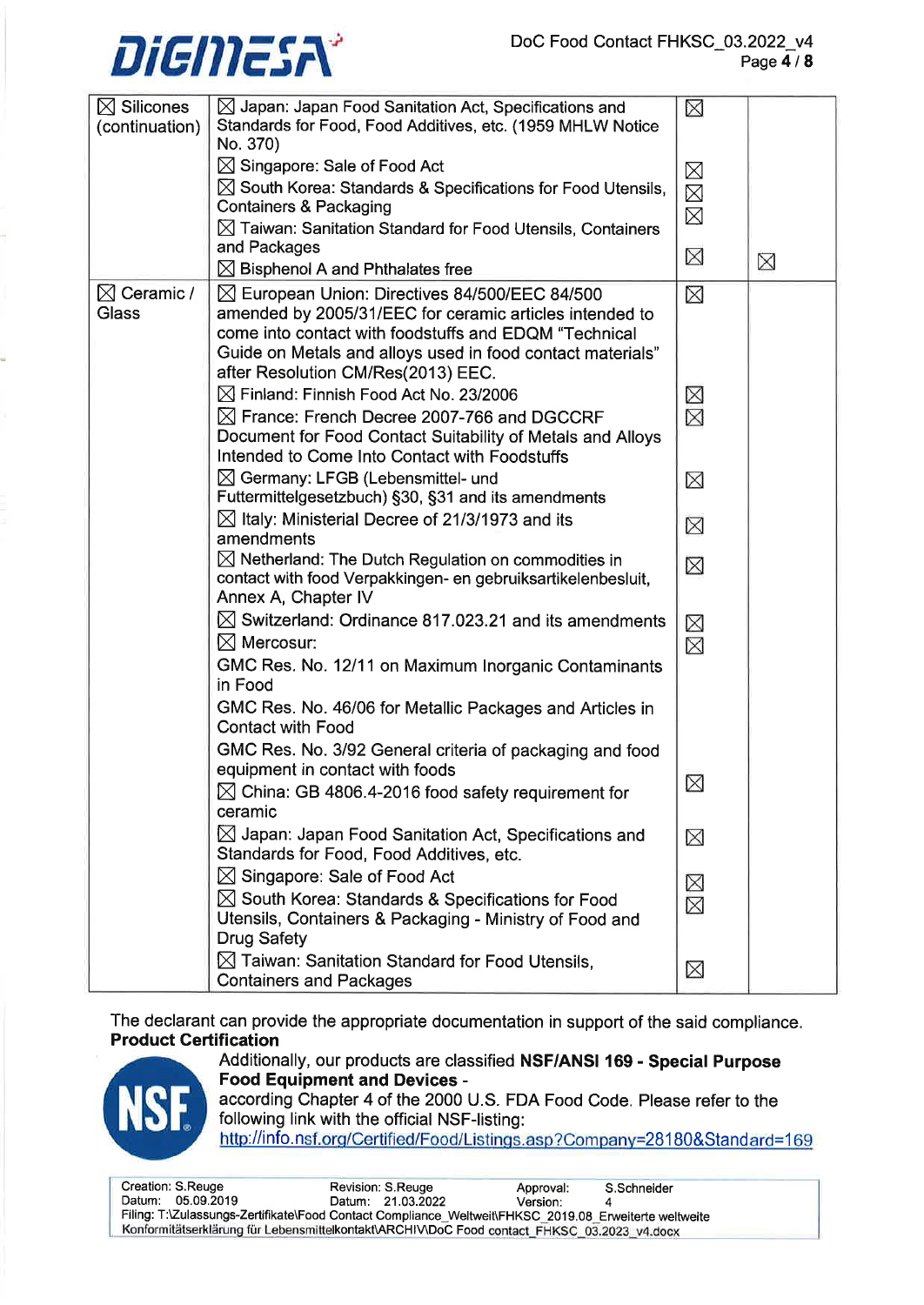# $\overline{\mathbf{Disc}}$  Doc Food Contact FHKSC\_03.2022\_v4 Page4/8



| $\boxtimes$ Silicones<br>(continuation) | $\boxtimes$ Japan: Japan Food Sanitation Act, Specifications and<br>Standards for Food, Food Additives, etc. (1959 MHLW Notice<br>No. 370) | ⊠                     |             |
|-----------------------------------------|--------------------------------------------------------------------------------------------------------------------------------------------|-----------------------|-------------|
|                                         | $\boxtimes$ Singapore: Sale of Food Act                                                                                                    |                       |             |
|                                         | $\boxtimes$ South Korea: Standards & Specifications for Food Utensils,                                                                     | $\boxtimes$           |             |
|                                         | <b>Containers &amp; Packaging</b>                                                                                                          | $\boxtimes$           |             |
|                                         | $\boxtimes$ Taiwan: Sanitation Standard for Food Utensils, Containers                                                                      | $\boxtimes$           |             |
|                                         | and Packages                                                                                                                               |                       |             |
|                                         | $\boxtimes$ Bisphenol A and Phthalates free                                                                                                | $\boxtimes$           | $\boxtimes$ |
|                                         |                                                                                                                                            |                       |             |
| $\boxtimes$ Ceramic /<br><b>Glass</b>   | $\boxtimes$ European Union: Directives 84/500/EEC 84/500                                                                                   | $\boxtimes$           |             |
|                                         | amended by 2005/31/EEC for ceramic articles intended to                                                                                    |                       |             |
|                                         | come into contact with foodstuffs and EDQM "Technical                                                                                      |                       |             |
|                                         | Guide on Metals and alloys used in food contact materials"                                                                                 |                       |             |
|                                         | after Resolution CM/Res(2013) EEC.                                                                                                         |                       |             |
|                                         | $\boxtimes$ Finland: Finnish Food Act No. 23/2006                                                                                          | $\boxtimes \boxtimes$ |             |
|                                         | $\boxtimes$ France: French Decree 2007-766 and DGCCRF                                                                                      |                       |             |
|                                         | Document for Food Contact Suitability of Metals and Alloys                                                                                 |                       |             |
|                                         | Intended to Come Into Contact with Foodstuffs                                                                                              |                       |             |
|                                         | $\boxtimes$ Germany: LFGB (Lebensmittel- und                                                                                               | $\times$              |             |
|                                         | Futtermittelgesetzbuch) §30, §31 and its amendments                                                                                        |                       |             |
|                                         | $\boxtimes$ Italy: Ministerial Decree of 21/3/1973 and its                                                                                 | $\boxtimes$           |             |
|                                         | amendments                                                                                                                                 |                       |             |
|                                         | $\boxtimes$ Netherland: The Dutch Regulation on commodities in                                                                             | $\boxtimes$           |             |
|                                         | contact with food Verpakkingen- en gebruiksartikelenbesluit,                                                                               |                       |             |
|                                         | Annex A, Chapter IV                                                                                                                        |                       |             |
|                                         | $\boxtimes$ Switzerland: Ordinance 817.023.21 and its amendments                                                                           | $\times$              |             |
|                                         | $\boxtimes$ Mercosur:                                                                                                                      | $\boxtimes$           |             |
|                                         | GMC Res. No. 12/11 on Maximum Inorganic Contaminants                                                                                       |                       |             |
|                                         | in Food                                                                                                                                    |                       |             |
|                                         | GMC Res. No. 46/06 for Metallic Packages and Articles in                                                                                   |                       |             |
|                                         | <b>Contact with Food</b>                                                                                                                   |                       |             |
|                                         | GMC Res. No. 3/92 General criteria of packaging and food                                                                                   |                       |             |
|                                         | equipment in contact with foods                                                                                                            |                       |             |
|                                         | $\boxtimes$ China: GB 4806.4-2016 food safety requirement for                                                                              | $\boxtimes$           |             |
|                                         | ceramic                                                                                                                                    |                       |             |
|                                         | $\boxtimes$ Japan: Japan Food Sanitation Act, Specifications and                                                                           | $\boxtimes$           |             |
|                                         | Standards for Food, Food Additives, etc.                                                                                                   |                       |             |
|                                         | $\boxtimes$ Singapore: Sale of Food Act                                                                                                    |                       |             |
|                                         | $\boxtimes$ South Korea: Standards & Specifications for Food                                                                               | $\boxtimes \boxtimes$ |             |
|                                         | Utensils, Containers & Packaging - Ministry of Food and                                                                                    |                       |             |
|                                         | <b>Drug Safety</b>                                                                                                                         |                       |             |
|                                         | $\boxtimes$ Taiwan: Sanitation Standard for Food Utensils,                                                                                 |                       |             |
|                                         | <b>Containers and Packages</b>                                                                                                             | $\times$              |             |
|                                         |                                                                                                                                            |                       |             |

The declarant can provide the appropriate documentation in support of the said compliance. Product Certification



Additionally, our products are classified NSF/ANSI 169 - Special Purpose Food Equipment and Devices according Chapter 4 of the 2000 U.S. FDA Food Code. Please refer to the

following link with the official NSF-listing:

http://info.nsf.org/Certified/Food/Listings.asp?Company=28180&Standard=169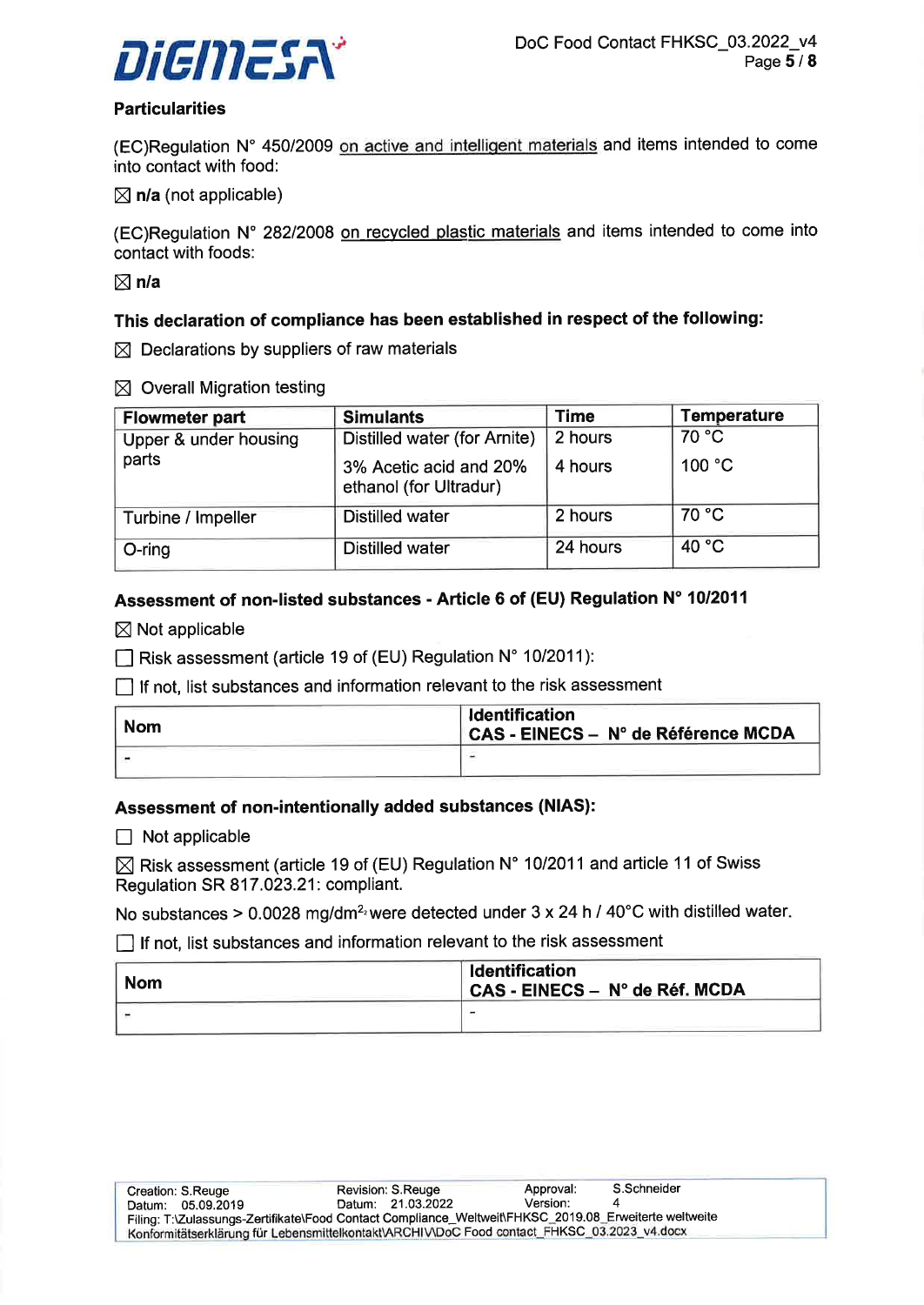

#### **Particularities**

(EC)Regulation N° 450/2009 on active and intelligent materials and items intended to come into contact with food:

 $\boxtimes$  n/a (not applicable)

(EC)Regulation N' 28212008 on recvcled plastic materials and items intended to come into contact with foods:

 $\boxtimes$  n/a

#### This declaration of compliance has been established in respect of the following:

 $\boxtimes$  Declarations by suppliers of raw materials

 $\boxtimes$  Overall Migration testing

| <b>Flowmeter part</b> | <b>Simulants</b>                                 | <b>Time</b> | <b>Temperature</b> |
|-----------------------|--------------------------------------------------|-------------|--------------------|
| Upper & under housing | Distilled water (for Arnite)                     | 2 hours     | 70 °C              |
| parts                 | 3% Acetic acid and 20%<br>ethanol (for Ultradur) | 4 hours     | 100 °C             |
| Turbine / Impeller    | <b>Distilled water</b>                           | 2 hours     | 70 °C              |
| O-ring                | <b>Distilled water</b>                           | 24 hours    | 40 °C              |

### Assessment of non-listed substances - Article 6 of (EU) Regulation N' 10/2011

 $\boxtimes$  Not applicable

 $\Box$  Risk assessment (article 19 of (EU) Regulation N° 10/2011):

 $\Box$  If not, list substances and information relevant to the risk assessment

| <b>Nom</b> | <b>Identification</b><br>│ CAS - EINECS – N° de Référence MCDA |
|------------|----------------------------------------------------------------|
|            |                                                                |

#### Assessment of non-intentionally added substances (NIAS):

 $\Box$  Not applicable

 $\boxtimes$  Risk assessment (article 19 of (EU) Regulation N° 10/2011 and article 11 of Swiss Regulation SR 817.023.21: compliant.

No substances > 0.0028 mg/dm<sup>2</sup><sup>2</sup> were detected under 3 x 24 h / 40°C with distilled water.

 $\Box$  If not, list substances and information relevant to the risk assessment

| <b>Nom</b> | <b>Identification</b><br>CAS - EINECS – N° de Réf. MCDA |
|------------|---------------------------------------------------------|
|            |                                                         |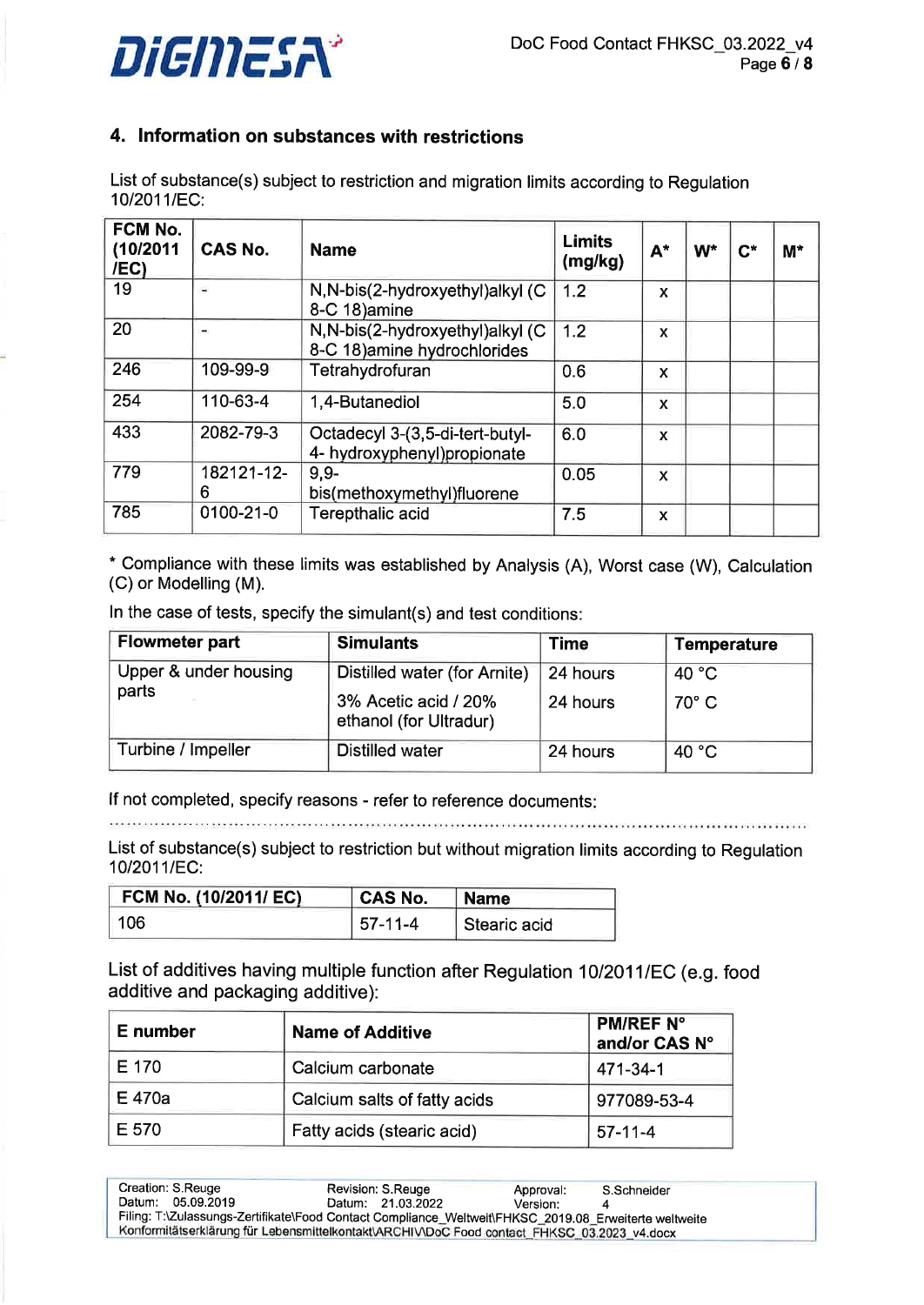

# 4. lnformation on substances with restrictions

List of substance(s) subject to restriction and migration limits according to Regulation 10/2011/EC:

| FCM No.<br>(10/2011<br>/EC | <b>CAS No.</b>  | <b>Name</b>                                                      | <b>Limits</b><br>(mg/kg) | $A^*$                     | $W^*$ | $\mathsf{C}^{\star}$ | $M^*$ |
|----------------------------|-----------------|------------------------------------------------------------------|--------------------------|---------------------------|-------|----------------------|-------|
| 19                         | Ξ               | N, N-bis(2-hydroxyethyl)alkyl (C)<br>8-C 18) amine               | 1.2                      | $\boldsymbol{\mathsf{x}}$ |       |                      |       |
| 20                         | -               | N, N-bis(2-hydroxyethyl)alkyl (C<br>8-C 18) amine hydrochlorides | 1.2                      | X                         |       |                      |       |
| 246                        | 109-99-9        | Tetrahydrofuran                                                  | 0.6                      | X                         |       |                      |       |
| 254                        | 110-63-4        | 1,4-Butanediol                                                   | 5.0                      | X                         |       |                      |       |
| 433                        | 2082-79-3       | Octadecyl 3-(3,5-di-tert-butyl-<br>4- hydroxyphenyl)propionate   | 6.0                      | X                         |       |                      |       |
| 779                        | 182121-12-<br>6 | $9.9 -$<br>bis(methoxymethyl)fluorene                            | 0.05                     | X                         |       |                      |       |
| 785                        | 0100-21-0       | <b>Terepthalic acid</b>                                          | 7.5                      | $\mathbf x$               |       |                      |       |

\* Compliance with these limits was established by Analysis (A), Worst case (W), Calculation (C) or Modelling (M).

ln the case of tests, specify the simulant(s) and test conditions:

| <b>Flowmeter part</b> | <b>Simulants</b>                               | <b>Time</b> | <b>Temperature</b> |
|-----------------------|------------------------------------------------|-------------|--------------------|
| Upper & under housing | Distilled water (for Arnite)                   | 24 hours    | 40 °C              |
| parts                 | 3% Acetic acid / 20%<br>ethanol (for Ultradur) | 24 hours    | $70^\circ$ C       |
| Turbine / Impeller    | <b>Distilled water</b>                         | 24 hours    | 40 °C              |

lf not completed, specify reasons - refer to reference documents

List of substance(s) subject to restriction but without migration limits according to Regulation 10/2011/EC:

| FCM No. (10/2011/ EC) | <b>CAS No.</b> | <b>Name</b>  |
|-----------------------|----------------|--------------|
| 106                   | $57-11-4$      | Stearic acid |

List of additives having multiple function after Regulation 10/2011/EC (e.g. food additive and packaging additive):

| E number | <b>Name of Additive</b>      | <b>PM/REF N°</b><br>and/or CAS N° |
|----------|------------------------------|-----------------------------------|
| E 170    | Calcium carbonate            | 471-34-1                          |
| E 470a   | Calcium salts of fatty acids | 977089-53-4                       |
| E 570    | Fatty acids (stearic acid)   | $57-11-4$                         |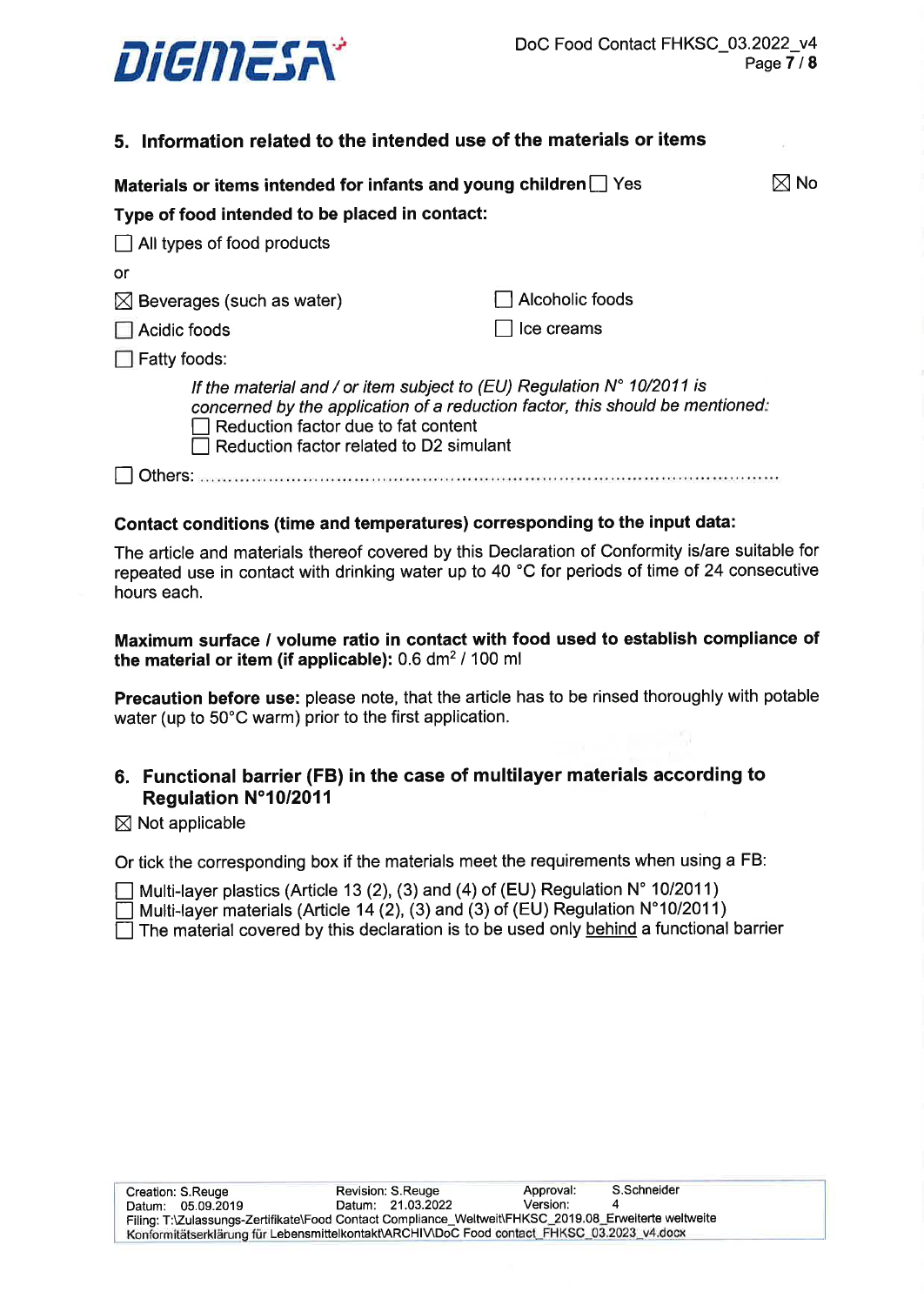

# 5. lnformation related to the intended use of the materials or items

| Materials or items intended for infants and young children Ses                                                                                                                                                                                     |                 |  |
|----------------------------------------------------------------------------------------------------------------------------------------------------------------------------------------------------------------------------------------------------|-----------------|--|
| Type of food intended to be placed in contact:                                                                                                                                                                                                     |                 |  |
| $\Box$ All types of food products                                                                                                                                                                                                                  |                 |  |
| or                                                                                                                                                                                                                                                 |                 |  |
| $\boxtimes$ Beverages (such as water)                                                                                                                                                                                                              | Alcoholic foods |  |
| Acidic foods                                                                                                                                                                                                                                       | Ice creams      |  |
| $\Box$ Fatty foods:                                                                                                                                                                                                                                |                 |  |
| If the material and / or item subject to (EU) Regulation $N^{\circ}$ 10/2011 is<br>concerned by the application of a reduction factor, this should be mentioned:<br>Reduction factor due to fat content<br>Reduction factor related to D2 simulant |                 |  |
|                                                                                                                                                                                                                                                    |                 |  |

#### Gontact conditions (time and temperatures) corresponding to the input data:

The article and materials thereof covered by this Declaration of Conformity is/are suitable for repeated use in contact with drinking water up to 40 "C for periods of time of 24 consecutive hours each.

#### Maximum surface / volume ratio in contact with food used to establish compliance of the material or item (if applicable):  $0.6$  dm<sup>2</sup> / 100 ml

Precaution before use: please note, that the article has to be rinsed thoroughly with potable water (up to 50'C warm) prior to the first application.

# 6. Functional barrier (FB) in the case of multilayer materials according to Regulation N"10/2011

#### $\boxtimes$  Not applicable

Or tick the corresponding box if the materials meet the requirements when using a FB:

 $\Box$  Multi-layer plastics (Article 13 (2), (3) and (4) of (EU) Regulation N° 10/2011)

 $\Box$  Multi-layer materials (Article 14 (2), (3) and (3) of (EU) Regulation N°10/2011)

 $\Box$  The material covered by this declaration is to be used only behind a functional barrier